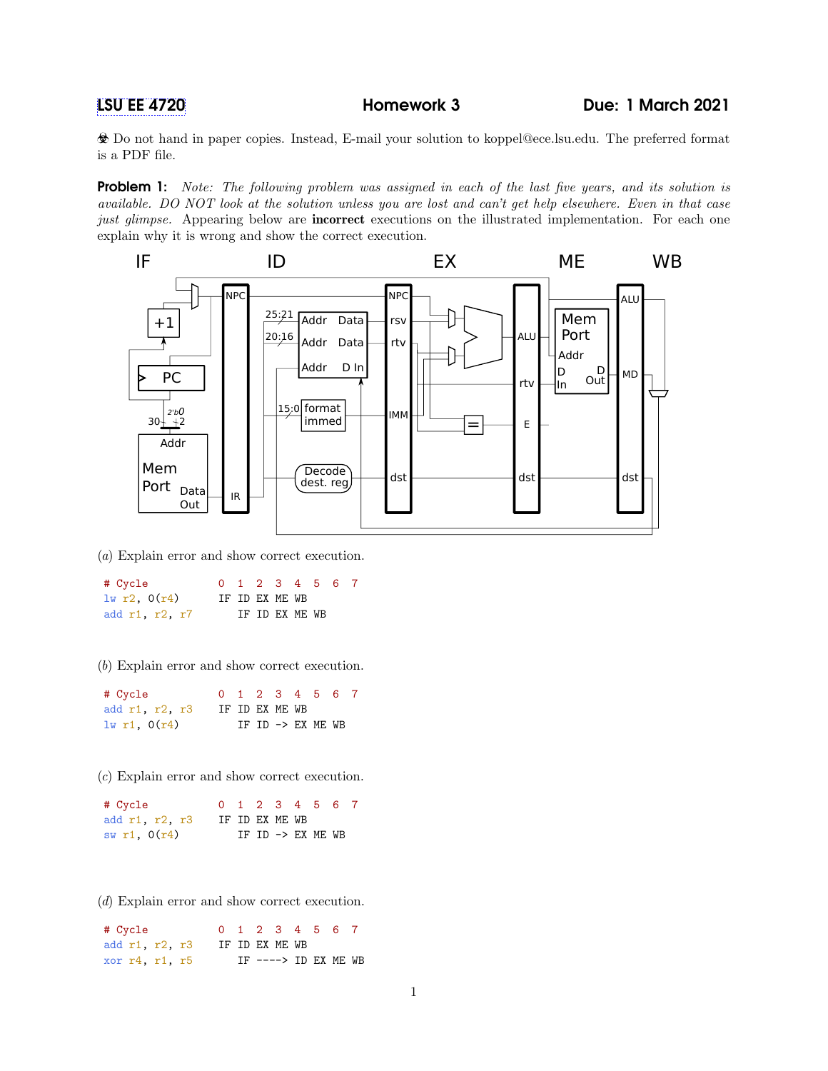Do not hand in paper copies. Instead, E-mail your solution to koppel@ece.lsu.edu. The preferred format is a PDF file.

**Problem 1:** Note: The following problem was assigned in each of the last five years, and its solution is available. DO NOT look at the solution unless you are lost and can't get help elsewhere. Even in that case just glimpse. Appearing below are **incorrect** executions on the illustrated implementation. For each one explain why it is wrong and show the correct execution.



(a) Explain error and show correct execution.

| # Cycle        |  |                |  | 0 1 2 3 4 5 6 7 |  |
|----------------|--|----------------|--|-----------------|--|
| 1w r2, 0(r4)   |  | IF ID EX ME WB |  |                 |  |
| add r1, r2, r7 |  | IF ID EX ME WB |  |                 |  |

(b) Explain error and show correct execution.

| # Cycle          |                |  |  | 0 1 2 3 4 5 6 7   |  |
|------------------|----------------|--|--|-------------------|--|
| add r1, r2, r3   | IF ID EX ME WB |  |  |                   |  |
| $1w$ r1, $0(r4)$ |                |  |  | IF ID -> EX ME WB |  |

(c) Explain error and show correct execution.

| # Cycle        |  |                | 0 1 2 3 4 5 6 7   |  |
|----------------|--|----------------|-------------------|--|
| add r1, r2, r3 |  | IF ID EX ME WB |                   |  |
| sw r1, $0(r4)$ |  |                | IF ID -> EX ME WB |  |

(d) Explain error and show correct execution.

| # Cycle        |                |  | 0 1 2 3 4 5 6 7       |  |  |
|----------------|----------------|--|-----------------------|--|--|
| add r1, r2, r3 | IF ID EX ME WB |  |                       |  |  |
| xor r4, r1, r5 |                |  | IF $--->$ ID EX ME WB |  |  |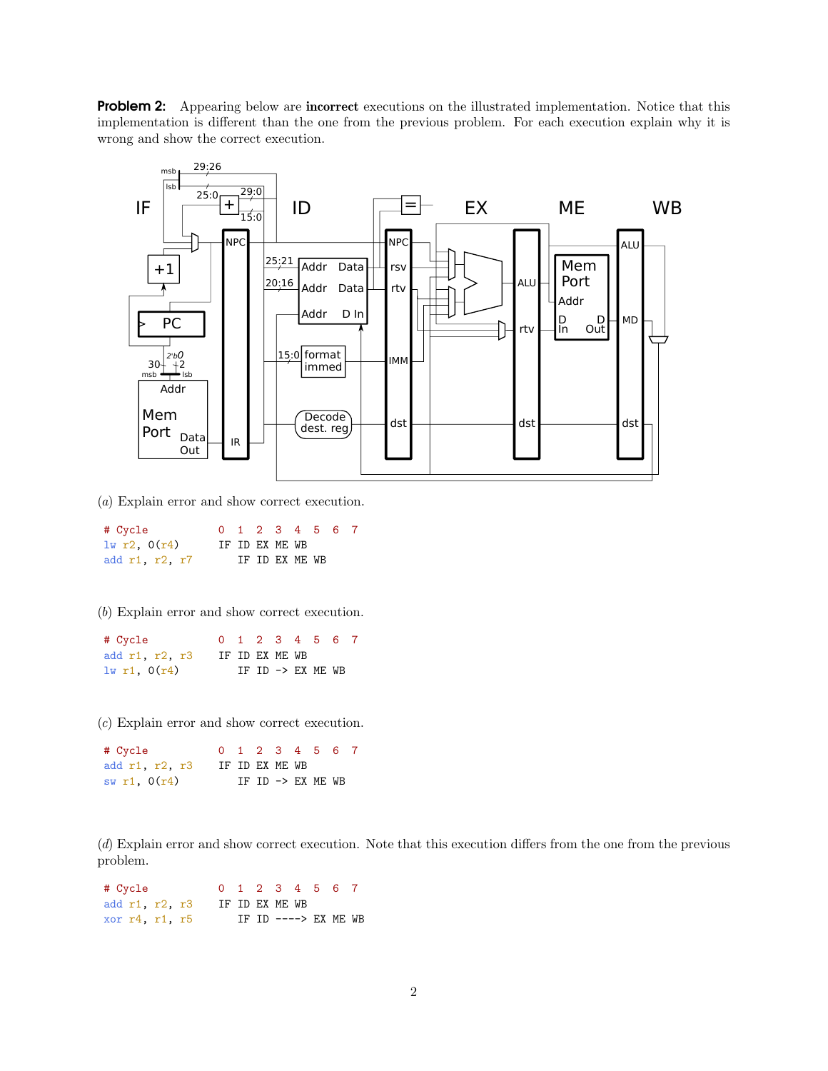Problem 2: Appearing below are incorrect executions on the illustrated implementation. Notice that this implementation is different than the one from the previous problem. For each execution explain why it is wrong and show the correct execution.



(a) Explain error and show correct execution.

| # Cycle        |  |                | 0 1 2 3 4 5 6 7 |  |
|----------------|--|----------------|-----------------|--|
| 1w r2, 0(r4)   |  | IF ID EX ME WB |                 |  |
| add r1, r2, r7 |  | IF ID EX ME WB |                 |  |

(b) Explain error and show correct execution.

| # Cycle        |                |  |  | 0 1 2 3 4 5 6 7   |  |
|----------------|----------------|--|--|-------------------|--|
| add r1, r2, r3 | IF ID EX ME WB |  |  |                   |  |
| 1w r1, 0(r4)   |                |  |  | IF ID -> EX ME WB |  |

(c) Explain error and show correct execution.

| # Cycle        |                |  |  | 0 1 2 3 4 5 6 7   |  |
|----------------|----------------|--|--|-------------------|--|
| add r1, r2, r3 | IF ID EX ME WB |  |  |                   |  |
| sw r1, $0(r4)$ |                |  |  | IF ID -> EX ME WB |  |

(d) Explain error and show correct execution. Note that this execution differs from the one from the previous problem.

| # Cycle        |                |  | 0 1 2 3 4 5 6 7       |  |  |
|----------------|----------------|--|-----------------------|--|--|
| add r1, r2, r3 | IF ID EX ME WB |  |                       |  |  |
| xor r4, r1, r5 |                |  | IF ID $---> EX ME WB$ |  |  |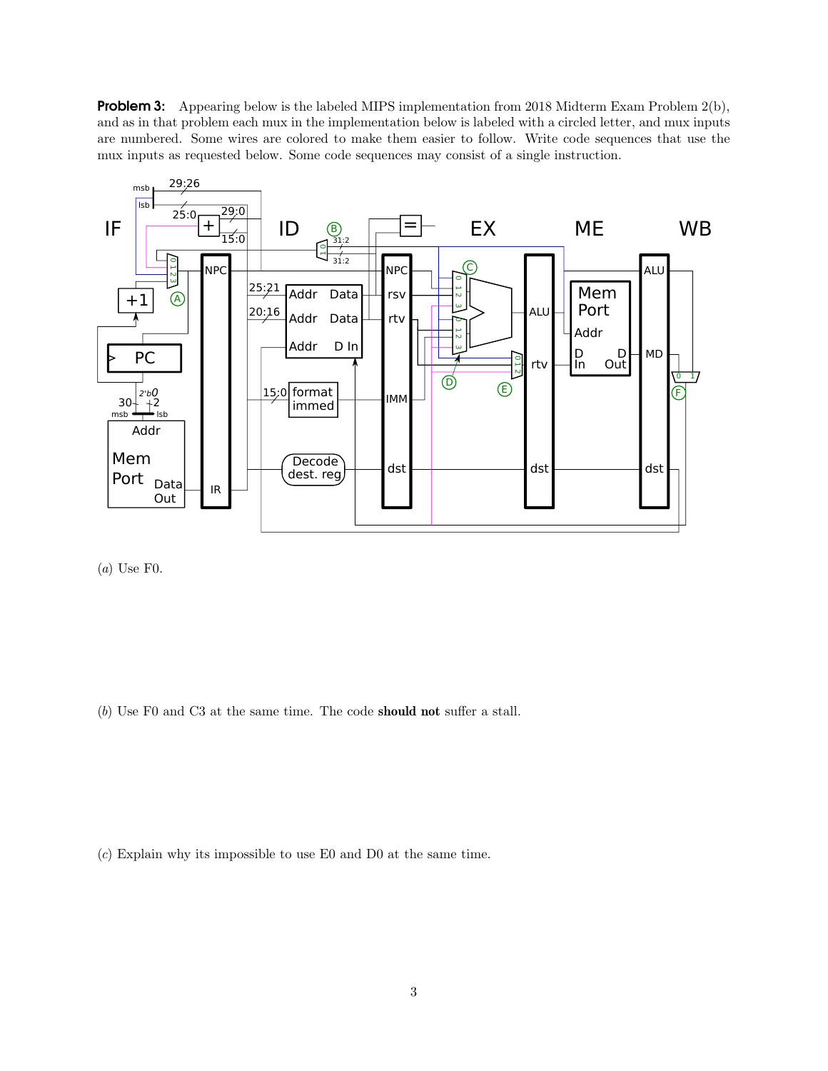**Problem 3:** Appearing below is the labeled MIPS implementation from 2018 Midterm Exam Problem  $2(b)$ , and as in that problem each mux in the implementation below is labeled with a circled letter, and mux inputs are numbered. Some wires are colored to make them easier to follow. Write code sequences that use the mux inputs as requested below. Some code sequences may consist of a single instruction.



(a) Use F0.

(b) Use F0 and C3 at the same time. The code should not suffer a stall.

(c) Explain why its impossible to use E0 and D0 at the same time.